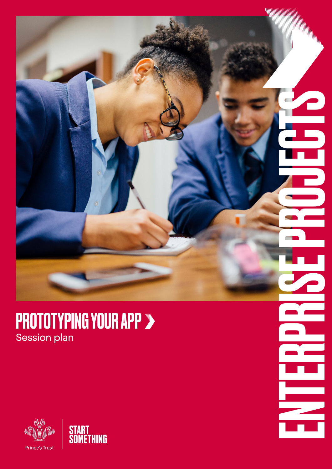

ENTERPRISE PROJECTS

Ξ

WW



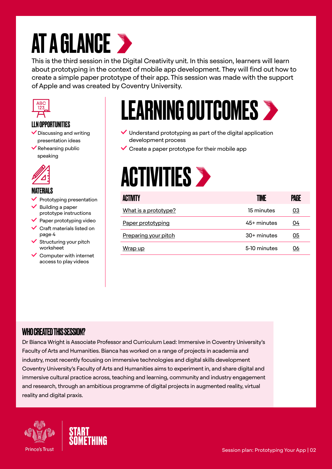## **AT A GLANCE >**

This is the third session in the Digital Creativity unit. In this session, learners will learn about prototyping in the context of mobile app development. They will find out how to create a simple paper prototype of their app. This session was made with the support of Apple and was created by Coventry University.



### LLN OPPORTUNITIES

- $\vee$  Discussing and writing presentation ideas
- $\blacktriangleright$  Rehearsing public speaking



#### **MATFRIALS**

- Prototyping presentation
- Building a paper prototype instructions
- $\vee$  Paper prototyping video
- Craft materials listed on page 4
- Structuring your pitch worksheet
- $\sqrt{\frac{1}{2}}$  Computer with internet access to play videos

### LEARNING OUTCOMES

- $\vee$  Understand prototyping as part of the digital application development process
- $\vee$  Create a paper prototype for their mobile app

### **ACTIVITIES >**

| <b>ACTIVITY</b>             | TIME          | Page |
|-----------------------------|---------------|------|
| What is a prototype?        | 15 minutes    | 03   |
| Paper prototyping           | 45+ minutes   | 04   |
| <b>Preparing your pitch</b> | $30+$ minutes | 05   |
| Wrap up                     | 5-10 minutes  | 06   |

### WHO CREATED THIS SESSION?

Dr Bianca Wright is Associate Professor and Curriculum Lead: Immersive in Coventry University's Faculty of Arts and Humanities. Bianca has worked on a range of projects in academia and industry, most recently focusing on immersive technologies and digital skills development Coventry University's Faculty of Arts and Humanities aims to experiment in, and share digital and immersive cultural practice across, teaching and learning, community and industry engagement and research, through an ambitious programme of digital projects in augmented reality, virtual reality and digital praxis.



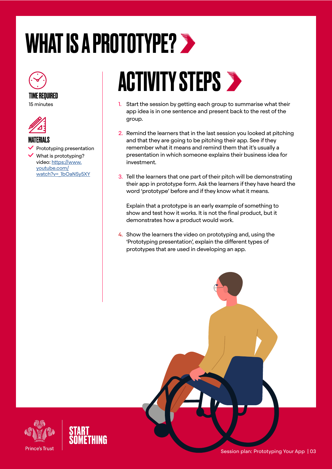# <span id="page-2-0"></span>WHAT IS A PROTOTYPE? >





MATERIALS

Prototyping presentation

 What is prototyping? video: [https://www.](https://www.youtube.com/watch?v=_1bOaNSy5XY) [youtube.com/](https://www.youtube.com/watch?v=_1bOaNSy5XY) [watch?v=\\_1bOaNSy5XY](https://www.youtube.com/watch?v=_1bOaNSy5XY)

### **ACTIVITY STEPS >**

- 1. Start the session by getting each group to summarise what their app idea is in one sentence and present back to the rest of the group.
- 2. Remind the learners that in the last session you looked at pitching and that they are going to be pitching their app. See if they remember what it means and remind them that it's usually a presentation in which someone explains their business idea for investment.
- 3. Tell the learners that one part of their pitch will be demonstrating their app in prototype form. Ask the learners if they have heard the word 'prototype' before and if they know what it means.

Explain that a prototype is an early example of something to show and test how it works. It is not the final product, but it demonstrates how a product would work.

4. Show the learners the video on prototyping and, using the 'Prototyping presentation', explain the different types of prototypes that are used in developing an app.



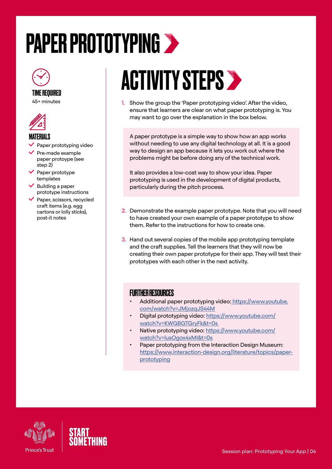## <span id="page-3-0"></span>PAPER PROTOTYPING



#### TIME REQUIRED

45+ minutes



#### **MATFRIALS**

- Paper prototyping video
- Pre-made example paper protoype (see step 2)
- $\blacktriangleright$  Paper prototype templates
- Building a paper prototype instructions
- Paper, scissors, recycled craft items (e.g. egg cartons or lolly sticks), post-it notes

### **ACTIVITY STEPS >**

1. Show the group the 'Paper prototyping video'. After the video, ensure that learners are clear on what paper prototyping is. You may want to go over the explanation in the box below.

A paper prototype is a simple way to show how an app works without needing to use any digital technology at all. It is a good way to design an app because it lets you work out where the problems might be before doing any of the technical work.

It also provides a low-cost way to show your idea. Paper prototyping is used in the developm[en](https://www.youtube.com/watch?v=XztZOlQcccI )t of digital products, particularly during the pitch process.

- 2. Demonstrate the example paper prototype. Note that you will need to have created your own example of a paper prototype to show them. Refer to the instructions for how to create one.
- 3. Hand out several copies of the mobile app prototyping template and the craft supplies. Tell the learners that they will now be creating their own paper prototype for their app. They will test their prototypes with each other in the next activity.

#### **FURTHER RESOURCES**

- Additional paper prototyping video: [https://www.youtube.]( https://www.youtube.com/watch?v=JMjozqJS44M) [com/watch?v=JMjozqJS44M]( https://www.youtube.com/watch?v=JMjozqJS44M)
- Digital prototyping video: [https://www.youtube.com/](https://www.youtube.com/watch?v=KWGBGTGryFk&t=0s ) [watch?v=KWGBGTGryFk&t=0s](https://www.youtube.com/watch?v=KWGBGTGryFk&t=0s )
- Native prototyping video: [https://www.youtube.com/](https://www.youtube.com/watch?v=lusOgox4xMI&t=0s) [watch?v=lusOgox4xMI&t=0s](https://www.youtube.com/watch?v=lusOgox4xMI&t=0s)
- Paper prototyping from the Interaction Design Museum: [https://www.interaction-design.org/literature/topics/paper](https://www.interaction-design.org/literature/topics/paper-prototyping)[prototyping](https://www.interaction-design.org/literature/topics/paper-prototyping)



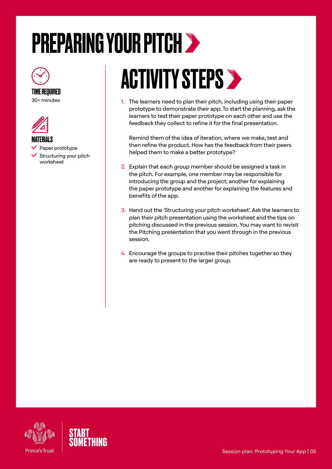# <span id="page-4-0"></span>PREPARING YOUR PITCH



#### TIME REQUIRED 30+ minutes



#### MATERIALS

- Paper prototype
- $\checkmark$  Structuring your pitch worksheet

# **ACTIVITY STEPS >**

1. The learners need to plan their pitch, including using their paper prototype to demonstrate their app. To start the planning, ask the learners to test their paper prototype on each other and use the feedback they collect to refine it for the final presentation.

Remind them of the idea of iteration, where we make, test and then refine the product. How has the feedback from their peers helped them to make a better prototype?

- 2. Explain that each group member should be assigned a task in the pitch. For example, one member may be responsible for introducing the group and the project, another for explaining the paper prototype and another for explaining the features and benefits of the app.
- 3. Hand out the 'Structuring your pitch worksheet'. Ask the learners to plan their pitch presentation using the worksheet and the tips on pitching discussed in the previous session. You may want to revisit the Pitching presentation that you went through in the previous session.
- 4. Encourage the groups to practise their pitches together so they are ready to present to the larger group.